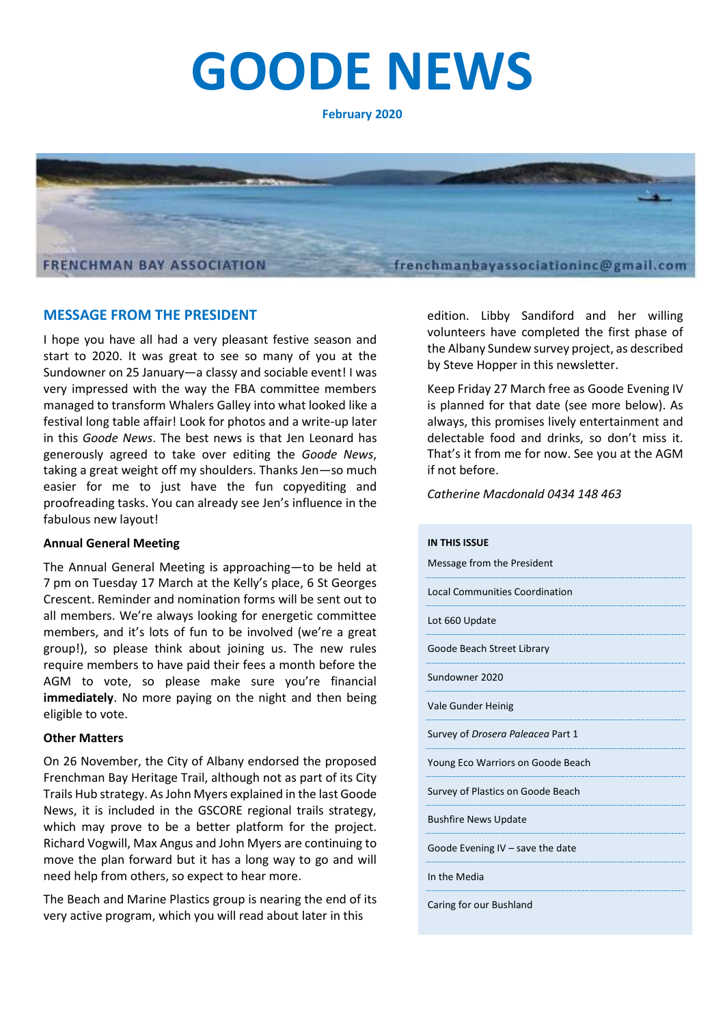# **GOODE NEWS**

**February 2020**



#### **MESSAGE FROM THE PRESIDENT**

I hope you have all had a very pleasant festive season and start to 2020. It was great to see so many of you at the Sundowner on 25 January—a classy and sociable event! I was very impressed with the way the FBA committee members managed to transform Whalers Galley into what looked like a festival long table affair! Look for photos and a write-up later in this *Goode News*. The best news is that Jen Leonard has generously agreed to take over editing the *Goode News*, taking a great weight off my shoulders. Thanks Jen—so much easier for me to just have the fun copyediting and proofreading tasks. You can already see Jen's influence in the fabulous new layout!

#### **Annual General Meeting**

The Annual General Meeting is approaching—to be held at 7 pm on Tuesday 17 March at the Kelly's place, 6 St Georges Crescent. Reminder and nomination forms will be sent out to all members. We're always looking for energetic committee members, and it's lots of fun to be involved (we're a great group!), so please think about joining us. The new rules require members to have paid their fees a month before the AGM to vote, so please make sure you're financial **immediately**. No more paying on the night and then being eligible to vote.

#### **Other Matters**

On 26 November, the City of Albany endorsed the proposed Frenchman Bay Heritage Trail, although not as part of its City Trails Hub strategy. As John Myers explained in the last Goode News, it is included in the GSCORE regional trails strategy, which may prove to be a better platform for the project. Richard Vogwill, Max Angus and John Myers are continuing to move the plan forward but it has a long way to go and will need help from others, so expect to hear more.

The Beach and Marine Plastics group is nearing the end of its very active program, which you will read about later in this

edition. Libby Sandiford and her willing volunteers have completed the first phase of the Albany Sundew survey project, as described by Steve Hopper in this newsletter.

Keep Friday 27 March free as Goode Evening IV is planned for that date (see more below). As always, this promises lively entertainment and delectable food and drinks, so don't miss it. That's it from me for now. See you at the AGM if not before.

*Catherine Macdonald 0434 148 463*

#### **IN THIS ISSUE**

| Message from the President            |
|---------------------------------------|
| <b>Local Communities Coordination</b> |
| Lot 660 Update                        |
| Goode Beach Street Library            |
| Sundowner 2020                        |
| Vale Gunder Heinig                    |
| Survey of Drosera Paleacea Part 1     |
| Young Eco Warriors on Goode Beach     |
| Survey of Plastics on Goode Beach     |
| <b>Bushfire News Update</b>           |
| Goode Evening IV $-$ save the date    |
| In the Media                          |
|                                       |

Caring for our Bushland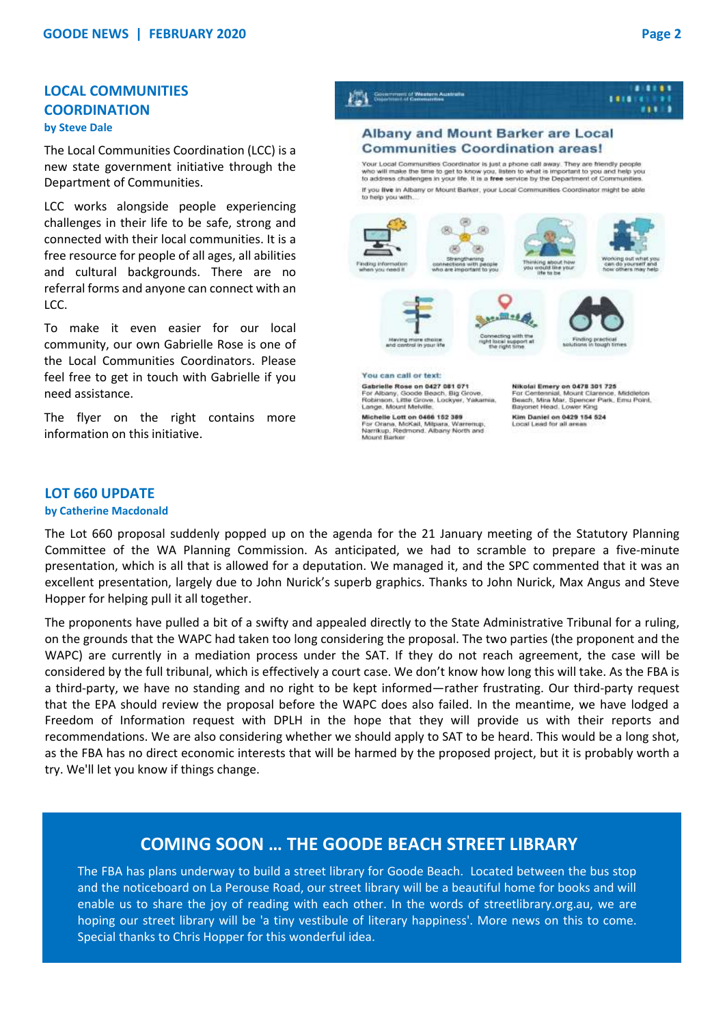#### **LOCAL COMMUNITIES COORDINATION by Steve Dale**

The Local Communities Coordination (LCC) is a new state government initiative through the Department of Communities.

LCC works alongside people experiencing challenges in their life to be safe, strong and connected with their local communities. It is a free resource for people of all ages, all abilities and cultural backgrounds. There are no referral forms and anyone can connect with an LCC.

To make it even easier for our local community, our own Gabrielle Rose is one of the Local Communities Coordinators. Please feel free to get in touch with Gabrielle if you need assistance.

The flyer on the right contains more information on this initiative.



#### **LOT 660 UPDATE**

#### **by Catherine Macdonald**

The Lot 660 proposal suddenly popped up on the agenda for the 21 January meeting of the Statutory Planning Committee of the WA Planning Commission. As anticipated, we had to scramble to prepare a five-minute presentation, which is all that is allowed for a deputation. We managed it, and the SPC commented that it was an excellent presentation, largely due to John Nurick's superb graphics. Thanks to John Nurick, Max Angus and Steve Hopper for helping pull it all together.

The proponents have pulled a bit of a swifty and appealed directly to the State Administrative Tribunal for a ruling, on the grounds that the WAPC had taken too long considering the proposal. The two parties (the proponent and the WAPC) are currently in a mediation process under the SAT. If they do not reach agreement, the case will be considered by the full tribunal, which is effectively a court case. We don't know how long this will take. As the FBA is a third-party, we have no standing and no right to be kept informed—rather frustrating. Our third-party request that the EPA should review the proposal before the WAPC does also failed. In the meantime, we have lodged a Freedom of Information request with DPLH in the hope that they will provide us with their reports and recommendations. We are also considering whether we should apply to SAT to be heard. This would be a long shot, as the FBA has no direct economic interests that will be harmed by the proposed project, but it is probably worth a try. We'll let you know if things change.

### **COMING SOON … THE GOODE BEACH STREET LIBRARY**

The FBA has plans underway to build a street library for Goode Beach. Located between the bus stop and the noticeboard on La Perouse Road, our street library will be a beautiful home for books and will enable us to share the joy of reading with each other. In the words of streetlibrary.org.au, we are hoping our street library will be 'a tiny vestibule of literary happiness'. More news on this to come. Special thanks to Chris Hopper for this wonderful idea.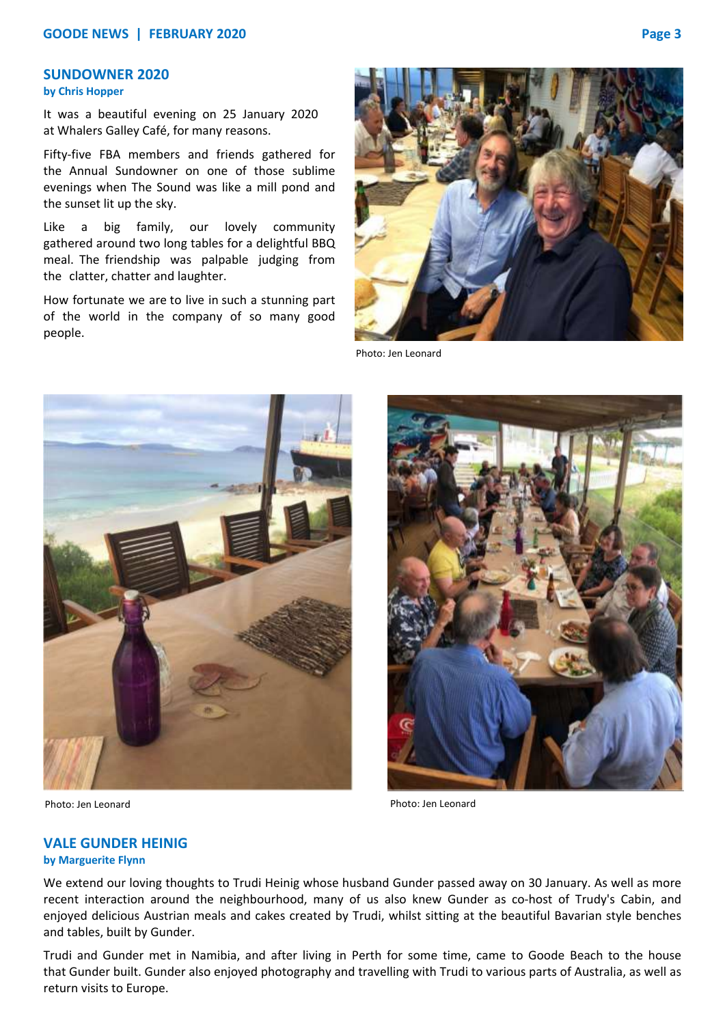#### **SUNDOWNER 2020**

#### **by Chris Hopper**

It was a beautiful evening on 25 January 2020 at Whalers Galley Café, for many reasons.

Fifty-five FBA members and friends gathered for the Annual Sundowner on one of those sublime evenings when The Sound was like a mill pond and the sunset lit up the sky.

Like a big family, our lovely community gathered around two long tables for a delightful BBQ meal. The friendship was palpable judging from the clatter, chatter and laughter.

How fortunate we are to live in such a stunning part of the world in the company of so many good people.



Photo: Jen Leonard



Photo: Jen Leonard Photo: Jen Leonard



#### **VALE GUNDER HEINIG**

#### **by Marguerite Flynn**

We extend our loving thoughts to Trudi Heinig whose husband Gunder passed away on 30 January. As well as more recent interaction around the neighbourhood, many of us also knew Gunder as co-host of Trudy's Cabin, and enjoyed delicious Austrian meals and cakes created by Trudi, whilst sitting at the beautiful Bavarian style benches and tables, built by Gunder.

Trudi and Gunder met in Namibia, and after living in Perth for some time, came to Goode Beach to the house that Gunder built. Gunder also enjoyed photography and travelling with Trudi to various parts of Australia, as well as return visits to Europe.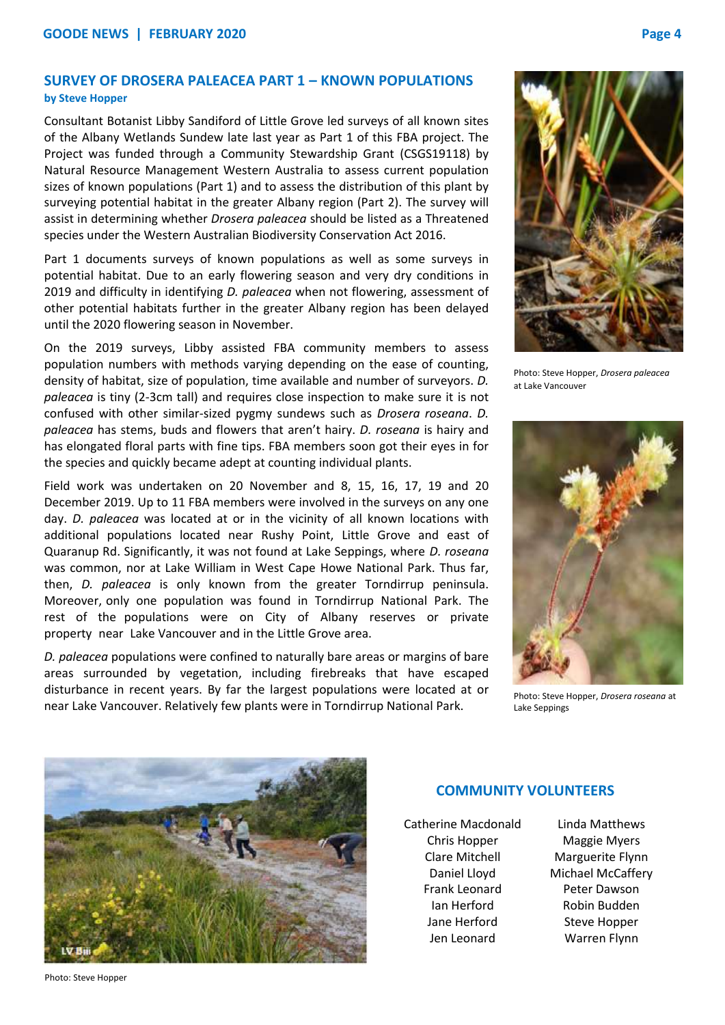#### **SURVEY OF DROSERA PALEACEA PART 1 – KNOWN POPULATIONS by Steve Hopper**

Consultant Botanist Libby Sandiford of Little Grove led surveys of all known sites of the Albany Wetlands Sundew late last year as Part 1 of this FBA project. The Project was funded through a Community Stewardship Grant (CSGS19118) by Natural Resource Management Western Australia to assess current population sizes of known populations (Part 1) and to assess the distribution of this plant by surveying potential habitat in the greater Albany region (Part 2). The survey will assist in determining whether *Drosera paleacea* should be listed as a Threatened species under the Western Australian Biodiversity Conservation Act 2016.

Part 1 documents surveys of known populations as well as some surveys in potential habitat. Due to an early flowering season and very dry conditions in 2019 and difficulty in identifying *D. paleacea* when not flowering, assessment of other potential habitats further in the greater Albany region has been delayed until the 2020 flowering season in November.

On the 2019 surveys, Libby assisted FBA community members to assess population numbers with methods varying depending on the ease of counting, density of habitat, size of population, time available and number of surveyors. *D. paleacea* is tiny (2-3cm tall) and requires close inspection to make sure it is not confused with other similar-sized pygmy sundews such as *Drosera roseana*. *D. paleacea* has stems, buds and flowers that aren't hairy. *D. roseana* is hairy and has elongated floral parts with fine tips. FBA members soon got their eyes in for the species and quickly became adept at counting individual plants.

Field work was undertaken on 20 November and 8, 15, 16, 17, 19 and 20 December 2019. Up to 11 FBA members were involved in the surveys on any one day. *D. paleacea* was located at or in the vicinity of all known locations with additional populations located near Rushy Point, Little Grove and east of Quaranup Rd. Significantly, it was not found at Lake Seppings, where *D. roseana* was common, nor at Lake William in West Cape Howe National Park. Thus far, then, *D. paleacea* is only known from the greater Torndirrup peninsula. Moreover, only one population was found in Torndirrup National Park. The rest of the populations were on City of Albany reserves or private property near Lake Vancouver and in the Little Grove area.

*D. paleacea* populations were confined to naturally bare areas or margins of bare areas surrounded by vegetation, including firebreaks that have escaped disturbance in recent years. By far the largest populations were located at or near Lake Vancouver. Relatively few plants were in Torndirrup National Park.



Photo: Steve Hopper, *Drosera paleacea* at Lake Vancouver



Photo: Steve Hopper, *Drosera roseana* at Lake Seppings



#### **COMMUNITY VOLUNTEERS**

Catherine Macdonald Chris Hopper Clare Mitchell Daniel Lloyd Frank Leonard Ian Herford Jane Herford Jen Leonard

Linda Matthews Maggie Myers Marguerite Flynn Michael McCaffery Peter Dawson Robin Budden Steve Hopper Warren Flynn

Photo: Steve Hopper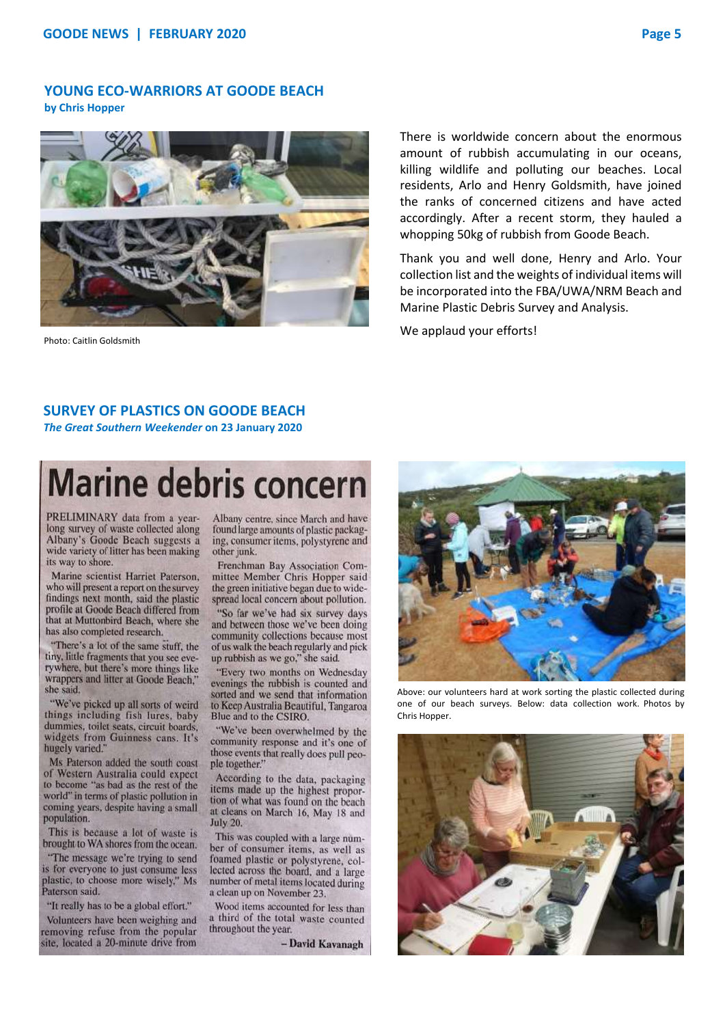#### **YOUNG ECO-WARRIORS AT GOODE BEACH by Chris Hopper**



Photo: Caitlin Goldsmith

There is worldwide concern about the enormous amount of rubbish accumulating in our oceans, killing wildlife and polluting our beaches. Local residents, Arlo and Henry Goldsmith, have joined the ranks of concerned citizens and have acted accordingly. After a recent storm, they hauled a whopping 50kg of rubbish from Goode Beach.

Thank you and well done, Henry and Arlo. Your collection list and the weights of individual items will be incorporated into the FBA/UWA/NRM Beach and Marine Plastic Debris Survey and Analysis.

We applaud your efforts!

#### **SURVEY OF PLASTICS ON GOODE BEACH**  *The Great Southern Weekender* **on 23 January 2020**

## **Marine debris concern**

PRELIMINARY data from a yearlong survey of waste collected along Albany's Goode Beach suggests a wide variety of litter has been making its way to shore.

Marine scientist Harriet Paterson, who will present a report on the survey findings next month, said the plastic profile at Goode Beach differed from that at Muttonbird Beach, where she has also completed research.

"There's a lot of the same stuff, the tiny, little fragments that you see everywhere, but there's more things like wrappers and litter at Goode Beach." she said.

"We've picked up all sorts of weird things including fish lures, baby dummies, toilet seats, circuit boards. widgets from Guinness cans. It's hugely varied.'

Ms Paterson added the south coast of Western Australia could expect to become "as bad as the rest of the world" in terms of plastic pollution in coming years, despite having a small population.

This is because a lot of waste is brought to WA shores from the ocean.

"The message we're trying to send is for everyone to just consume less plastic, to choose more wisely," Ms Paterson said.

"It really has to be a global effort."

Volunteers have been weighing and removing refuse from the popular site, located a 20-minute drive from

Albany centre, since March and have found large amounts of plastic packaging, consumer items, polystyrene and other junk.

Frenchman Bay Association Committee Member Chris Hopper said the green initiative began due to widespread local concern about pollution.

"So far we've had six survey days and between those we've been doing community collections because most of us walk the beach regularly and pick up rubbish as we go," she said.

"Every two months on Wednesday evenings the rubbish is counted and sorted and we send that information to Keep Australia Beautiful, Tangaroa Blue and to the CSIRO.

"We've been overwhelmed by the community response and it's one of those events that really does pull people together."

According to the data, packaging items made up the highest proportion of what was found on the beach at cleans on March 16, May 18 and July 20.

This was coupled with a large number of consumer items, as well as foamed plastic or polystyrene, collected across the board, and a large number of metal items located during a clean up on November 23.

Wood items accounted for less than a third of the total waste counted throughout the year.

- David Kavanagh



Above: our volunteers hard at work sorting the plastic collected during one of our beach surveys. Below: data collection work. Photos by Chris Hopper.

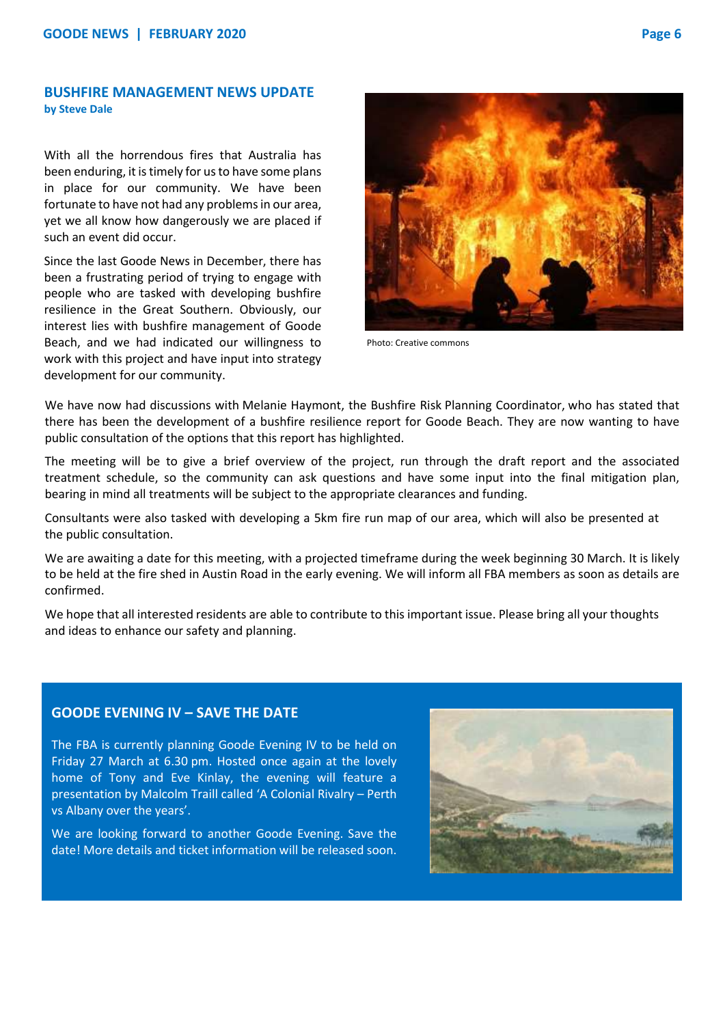#### **BUSHFIRE MANAGEMENT NEWS UPDATE by Steve Dale**

With all the horrendous fires that Australia has been enduring, it is timely for us to have some plans in place for our community. We have been fortunate to have not had any problems in our area, yet we all know how dangerously we are placed if such an event did occur.

Since the last Goode News in December, there has been a frustrating period of trying to engage with people who are tasked with developing bushfire resilience in the Great Southern. Obviously, our interest lies with bushfire management of Goode Beach, and we had indicated our willingness to work with this project and have input into strategy development for our community.



Photo: Creative commons

We have now had discussions with Melanie Haymont, the Bushfire Risk Planning Coordinator, who has stated that there has been the development of a bushfire resilience report for Goode Beach. They are now wanting to have public consultation of the options that this report has highlighted.

The meeting will be to give a brief overview of the project, run through the draft report and the associated treatment schedule, so the community can ask questions and have some input into the final mitigation plan, bearing in mind all treatments will be subject to the appropriate clearances and funding.

Consultants were also tasked with developing a 5km fire run map of our area, which will also be presented at the public consultation.

We are awaiting a date for this meeting, with a projected timeframe during the week beginning 30 March. It is likely to be held at the fire shed in Austin Road in the early evening. We will inform all FBA members as soon as details are confirmed.

We hope that all interested residents are able to contribute to this important issue. Please bring all your thoughts and ideas to enhance our safety and planning.

#### **GOODE EVENING IV – SAVE THE DATE**

The FBA is currently planning Goode Evening IV to be held on Friday 27 March at 6.30 pm. Hosted once again at the lovely home of Tony and Eve Kinlay, the evening will feature a presentation by Malcolm Traill called 'A Colonial Rivalry – Perth vs Albany over the years'.

We are looking forward to another Goode Evening. Save the date! More details and ticket information will be released soon.